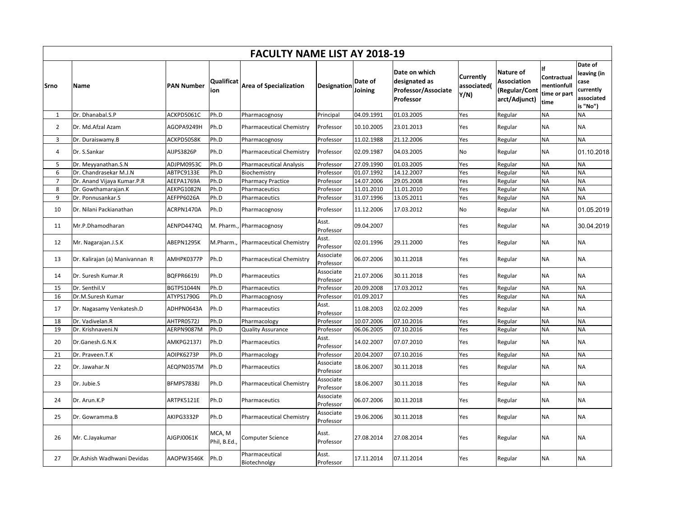|                | <b>FACULTY NAME LIST AY 2018-19</b> |                   |                        |                                 |                        |                    |                                                                           |                                  |                                                                   |                                                    |                                                                       |  |  |  |
|----------------|-------------------------------------|-------------------|------------------------|---------------------------------|------------------------|--------------------|---------------------------------------------------------------------------|----------------------------------|-------------------------------------------------------------------|----------------------------------------------------|-----------------------------------------------------------------------|--|--|--|
| Srno           | Name                                | <b>PAN Number</b> | Qualificat<br>ion      | <b>Area of Specialization</b>   | Designation            | Date of<br>Joining | Date on which<br>designated as<br><b>Professor/Associate</b><br>Professor | Currently<br>associated(<br>Y/N) | Nature of<br><b>Association</b><br>(Regular/Cont<br>arct/Adjunct) | Contractual<br>mentionfull<br>time or part<br>time | Date of<br>leaving (in<br>case<br>currently<br>associated<br>is "No") |  |  |  |
| $\mathbf{1}$   | Dr. Dhanabal.S.P                    | ACKPD5061C        | Ph.D                   | Pharmacognosy                   | Principal              | 04.09.1991         | 01.03.2005                                                                | Yes                              | Regular                                                           | <b>NA</b>                                          | <b>NA</b>                                                             |  |  |  |
| $\overline{2}$ | Dr. Md.Afzal Azam                   | AGOPA9249H        | Ph.D                   | <b>Pharmaceutical Chemistry</b> | Professor              | 10.10.2005         | 23.01.2013                                                                | Yes                              | Regular                                                           | <b>NA</b>                                          | <b>NA</b>                                                             |  |  |  |
| 3              | Dr. Duraiswamy.B                    | ACKPD5058K        | Ph.D                   | Pharmacognosy                   | Professor              | 11.02.1988         | 21.12.2006                                                                | Yes                              | Regular                                                           | <b>NA</b>                                          | <b>NA</b>                                                             |  |  |  |
| 4              | Dr. S.Sankar                        | AIJPS3826P        | Ph.D                   | <b>Pharmaceutical Chemistry</b> | Professor              | 02.09.1987         | 04.03.2005                                                                | No                               | Regular                                                           | <b>NA</b>                                          | 01.10.2018                                                            |  |  |  |
| 5              | Dr. Meyyanathan.S.N                 | ADJPM0953C        | Ph.D                   | <b>Pharmaceutical Analysis</b>  | Professor              | 27.09.1990         | 01.03.2005                                                                | Yes                              | Regular                                                           | <b>NA</b>                                          | <b>NA</b>                                                             |  |  |  |
| 6              | Dr. Chandrasekar M.J.N              | ABTPC9133E        | Ph.D                   | Biochemistry                    | Professor              | 01.07.1992         | 14.12.2007                                                                | Yes                              | Regular                                                           | <b>NA</b>                                          | <b>NA</b>                                                             |  |  |  |
| $\overline{7}$ | Dr. Anand Vijaya Kumar.P.R          | AEEPA1769A        | Ph.D                   | <b>Pharmacy Practice</b>        | Professor              | 14.07.2006         | 29.05.2008                                                                | Yes                              | Regular                                                           | <b>NA</b>                                          | <b>NA</b>                                                             |  |  |  |
| 8              | Dr. Gowthamarajan.K                 | AEKPG1082N        | Ph.D                   | Pharmaceutics                   | Professor              | 11.01.2010         | 11.01.2010                                                                | Yes                              | Regular                                                           | <b>NA</b>                                          | <b>NA</b>                                                             |  |  |  |
| 9              | Dr. Ponnusankar.S                   | AEFPP6026A        | Ph.D                   | Pharmaceutics                   | Professor              | 31.07.1996         | 13.05.2011                                                                | Yes                              | Regular                                                           | <b>NA</b>                                          | <b>NA</b>                                                             |  |  |  |
| 10             | Dr. Nilani Packianathan             | ACRPN1470A        | Ph.D                   | Pharmacognosy                   | Professor              | 11.12.2006         | 17.03.2012                                                                | No                               | Regular                                                           | <b>NA</b>                                          | 01.05.2019                                                            |  |  |  |
| 11             | Mr.P.Dhamodharan                    | AENPD4474Q        |                        | M. Pharm., Pharmacognosy        | Asst.<br>Professor     | 09.04.2007         |                                                                           | Yes                              | Regular                                                           | <b>NA</b>                                          | 30.04.2019                                                            |  |  |  |
| 12             | Mr. Nagarajan.J.S.K                 | ABEPN1295K        | M.Pharm.,              | <b>Pharmaceutical Chemistry</b> | Asst.<br>Professor     | 02.01.1996         | 29.11.2000                                                                | Yes                              | Regular                                                           | <b>NA</b>                                          | <b>NA</b>                                                             |  |  |  |
| 13             | Dr. Kalirajan (a) Manivannan R      | AMHPK0377P        | Ph.D                   | <b>Pharmaceutical Chemistry</b> | Associate<br>Professor | 06.07.2006         | 30.11.2018                                                                | Yes                              | Regular                                                           | <b>NA</b>                                          | <b>NA</b>                                                             |  |  |  |
| 14             | Dr. Suresh Kumar.R                  | <b>BQFPR6619J</b> | Ph.D                   | Pharmaceutics                   | Associate<br>Professor | 21.07.2006         | 30.11.2018                                                                | Yes                              | Regular                                                           | <b>NA</b>                                          | <b>NA</b>                                                             |  |  |  |
| 15             | Dr. Senthil.V                       | BGTPS1044N        | Ph.D                   | Pharmaceutics                   | Professor              | 20.09.2008         | 17.03.2012                                                                | Yes                              | Regular                                                           | <b>NA</b>                                          | <b>NA</b>                                                             |  |  |  |
| 16             | Dr.M.Suresh Kumar                   | ATYPS1790G        | Ph.D                   | Pharmacognosy                   | Professor              | 01.09.2017         |                                                                           | Yes                              | Regular                                                           | <b>NA</b>                                          | <b>NA</b>                                                             |  |  |  |
| 17             | Dr. Nagasamy Venkatesh.D            | ADHPN0643A        | Ph.D                   | Pharmaceutics                   | Asst.<br>Professor     | 11.08.2003         | 02.02.2009                                                                | Yes                              | Regular                                                           | <b>NA</b>                                          | <b>NA</b>                                                             |  |  |  |
| 18             | Dr. Vadivelan.R                     | AHTPR0572J        | Ph.D                   | Pharmacology                    | Professor              | 10.07.2006         | 07.10.2016                                                                | Yes                              | Regular                                                           | <b>NA</b>                                          | <b>NA</b>                                                             |  |  |  |
| 19             | Dr. Krishnaveni.N                   | AERPN9087M        | Ph.D                   | <b>Quality Assurance</b>        | Professor              | 06.06.2005         | 07.10.2016                                                                | Yes                              | Regular                                                           | <b>NA</b>                                          | <b>NA</b>                                                             |  |  |  |
| 20             | Dr.Ganesh.G.N.K                     | AMKPG2137J        | Ph.D                   | Pharmaceutics                   | Asst.<br>Professor     | 14.02.2007         | 07.07.2010                                                                | Yes                              | Regular                                                           | <b>NA</b>                                          | <b>NA</b>                                                             |  |  |  |
| 21             | Dr. Praveen.T.K                     | AOIPK6273P        | Ph.D                   | Pharmacology                    | Professor              | 20.04.2007         | 07.10.2016                                                                | Yes                              | Regular                                                           | <b>NA</b>                                          | <b>NA</b>                                                             |  |  |  |
| 22             | Dr. Jawahar.N                       | AEQPN0357M        | Ph.D                   | Pharmaceutics                   | Associate<br>Professor | 18.06.2007         | 30.11.2018                                                                | Yes                              | Regular                                                           | <b>NA</b>                                          | NA                                                                    |  |  |  |
| 23             | Dr. Jubie.S                         | BFMPS7838J        | Ph.D                   | <b>Pharmaceutical Chemistry</b> | Associate<br>Professor | 18.06.2007         | 30.11.2018                                                                | Yes                              | Regular                                                           | <b>NA</b>                                          | <b>NA</b>                                                             |  |  |  |
| 24             | Dr. Arun.K.P                        | ARTPK5121E        | Ph.D                   | Pharmaceutics                   | Associate<br>Professor | 06.07.2006         | 30.11.2018                                                                | Yes                              | Regular                                                           | <b>NA</b>                                          | <b>NA</b>                                                             |  |  |  |
| 25             | Dr. Gowramma.B                      | AKIPG3332P        | Ph.D                   | <b>Pharmaceutical Chemistry</b> | Associate<br>Professor | 19.06.2006         | 30.11.2018                                                                | Yes                              | Regular                                                           | <b>NA</b>                                          | <b>NA</b>                                                             |  |  |  |
| 26             | Mr. C.Jayakumar                     | AJGPJ0061K        | MCA, M<br>Phil, B.Ed., | <b>Computer Science</b>         | Asst.<br>Professor     | 27.08.2014         | 27.08.2014                                                                | Yes                              | Regular                                                           | <b>NA</b>                                          | <b>NA</b>                                                             |  |  |  |
| 27             | Dr.Ashish Wadhwani Devidas          | AAOPW3546K        | Ph.D                   | Pharmaceutical<br>Biotechnolgy  | Asst.<br>Professor     | 17.11.2014         | 07.11.2014                                                                | Yes                              | Regular                                                           | NA                                                 | NA                                                                    |  |  |  |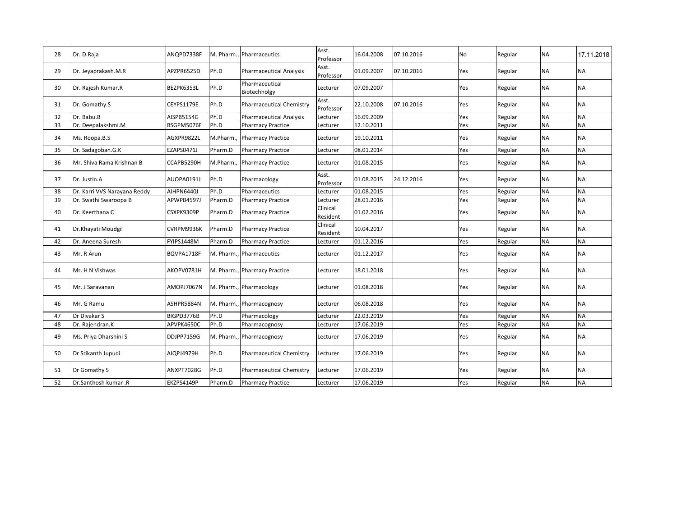| 28 | Dr. D.Raja                   | ANQPD7338F |          | M. Pharm., Pharmaceutics        | Asst.<br>Professor   | 16.04.2008 | 07.10.2016 | No  | Regular | <b>NA</b> | 17.11.2018 |
|----|------------------------------|------------|----------|---------------------------------|----------------------|------------|------------|-----|---------|-----------|------------|
| 29 | Dr. Jeyaprakash.M.R          | APZPR6525D | Ph.D     | <b>Pharmaceutical Analysis</b>  | Asst.<br>Professor   | 01.09.2007 | 07.10.2016 | Yes | Regular | <b>NA</b> | <b>NA</b>  |
| 30 | Dr. Rajesh Kumar.R           | BEZPK6353L | Ph.D     | Pharmaceutical<br>Biotechnolgy  | Lecturer             | 07.09.2007 |            | Yes | Regular | NA        | <b>NA</b>  |
| 31 | Dr. Gomathy.S                | CEYPS1179E | Ph.D     | <b>Pharmaceutical Chemistry</b> | Asst.<br>Professor   | 22.10.2008 | 07.10.2016 | Yes | Regular | NA        | <b>NA</b>  |
| 32 | Dr. Babu.B                   | AISPB5154G | Ph.D     | <b>Pharmaceutical Analysis</b>  | Lecturer             | 16.09.2009 |            | Yes | Regular | <b>NA</b> | <b>NA</b>  |
| 33 | Dr. Deepalakshmi.M           | BSGPM5076F | Ph.D     | <b>Pharmacy Practice</b>        | Lecturer             | 12.10.2011 |            | Yes | Regular | <b>NA</b> | <b>NA</b>  |
| 34 | Ms. Roopa.B.S                | AGXPR9822L | M.Pharm. | <b>Pharmacy Practice</b>        | Lecturer             | 19.10.2011 |            | Yes | Regular | NA        | <b>NA</b>  |
| 35 | Dr. Sadagoban.G.K            | EZAPS0471J | Pharm.D  | <b>Pharmacy Practice</b>        | Lecturer             | 08.01.2014 |            | Yes | Regular | <b>NA</b> | <b>NA</b>  |
| 36 | Mr. Shiva Rama Krishnan B    | CCAPB5290H | M.Pharm. | <b>Pharmacy Practice</b>        | Lecturer             | 01.08.2015 |            | Yes | Regular | <b>NA</b> | <b>NA</b>  |
| 37 | Dr. Justin.A                 | AUOPA0191J | Ph.D     | Pharmacology                    | Asst.<br>Professor   | 01.08.2015 | 24.12.2016 | Yes | Regular | <b>NA</b> | <b>NA</b>  |
| 38 | Dr. Karri VVS Narayana Reddy | AIHPN6440J | Ph.D     | Pharmaceutics                   | Lecturer             | 01.08.2015 |            | Yes | Regular | <b>NA</b> | <b>NA</b>  |
| 39 | Dr. Swathi Swaroopa B        | APWPB4597J | Pharm.D  | <b>Pharmacy Practice</b>        | Lecturer             | 28.01.2016 |            | Yes | Regular | <b>NA</b> | <b>NA</b>  |
| 40 | Dr. Keerthana C              | CSXPK9309P | Pharm.D  | <b>Pharmacy Practice</b>        | Clinical<br>Resident | 01.02.2016 |            | Yes | Regular | NA        | <b>NA</b>  |
| 41 | Dr.Khayati Moudgil           | CVRPM9936K | Pharm.D  | <b>Pharmacy Practice</b>        | Clinical<br>Resident | 10.04.2017 |            | Yes | Regular | <b>NA</b> | <b>NA</b>  |
| 42 | Dr. Aneena Suresh            | FYIPS1448M | Pharm.D  | <b>Pharmacy Practice</b>        | Lecturer             | 01.12.2016 |            | Yes | Regular | <b>NA</b> | <b>NA</b>  |
| 43 | Mr. R Arun                   | BQVPA1718F |          | M. Pharm., Pharmaceutics        | Lecturer             | 01.12.2017 |            | Yes | Regular | NA        | <b>NA</b>  |
| 44 | Mr. H N Vishwas              | AKOPV0781H |          | M. Pharm., Pharmacy Practice    | Lecturer             | 18.01.2018 |            | Yes | Regular | <b>NA</b> | <b>NA</b>  |
| 45 | Mr. J Saravanan              | AMOPJ7067N |          | M. Pharm., Pharmacology         | Lecturer             | 01.08.2018 |            | Yes | Regular | NA        | <b>NA</b>  |
| 46 | Mr. G Ramu                   | ASHPR5884N |          | M. Pharm., Pharmacognosy        | Lecturer             | 06.08.2018 |            | Yes | Regular | <b>NA</b> | <b>NA</b>  |
| 47 | Dr Divakar S                 | BIGPD3776B | Ph.D     | Pharmacology                    | Lecturer             | 22.03.2019 |            | Yes | Regular | <b>NA</b> | <b>NA</b>  |
| 48 | Dr. Rajendran.K              | APVPK4650C | Ph.D     | Pharmacognosy                   | Lecturer             | 17.06.2019 |            | Yes | Regular | <b>NA</b> | <b>NA</b>  |
| 49 | Ms. Priya Dharshini S        | DDJPP7159G |          | M. Pharm., Pharmacognosy        | Lecturer             | 17.06.2019 |            | Yes | Regular | <b>NA</b> | <b>NA</b>  |
| 50 | Dr Srikanth Jupudi           | AIOPJ4979H | Ph.D     | <b>Pharmaceutical Chemistry</b> | Lecturer             | 17.06.2019 |            | Yes | Regular | <b>NA</b> | <b>NA</b>  |
| 51 | Dr Gomathy S                 | ANXPT7028G | Ph.D     | <b>Pharmaceutical Chemistry</b> | Lecturer             | 17.06.2019 |            | Yes | Regular | NA        | <b>NA</b>  |
| 52 | Dr.Santhosh kumar .R         | EKZPS4149P | Pharm.D  | <b>Pharmacy Practice</b>        | Lecturer             | 17.06.2019 |            | Yes | Regular | <b>NA</b> | <b>NA</b>  |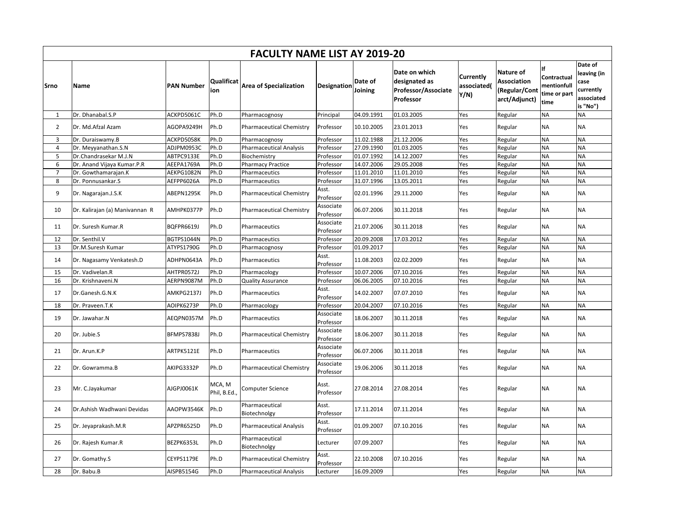|                |                                |                   |                        | <b>FACULTY NAME LIST AY 2019-20</b> |                        |                    |                                                                    |                                  |                                                            |                                                          |                                                                       |
|----------------|--------------------------------|-------------------|------------------------|-------------------------------------|------------------------|--------------------|--------------------------------------------------------------------|----------------------------------|------------------------------------------------------------|----------------------------------------------------------|-----------------------------------------------------------------------|
| <b>Srno</b>    | <b>Name</b>                    | <b>PAN Number</b> | Qualificat<br>ion      | <b>Area of Specialization</b>       | <b>Designation</b>     | Date of<br>Joining | Date on which<br>designated as<br>Professor/Associate<br>Professor | Currently<br>associated(<br>Y/N) | Nature of<br>Association<br>(Regular/Cont<br>arct/Adjunct) | If<br>Contractual<br>mentionfull<br>time or part<br>time | Date of<br>leaving (in<br>case<br>currently<br>associated<br>is "No") |
| 1              | Dr. Dhanabal.S.P               | ACKPD5061C        | Ph.D                   | Pharmacognosy                       | Principal              | 04.09.1991         | 01.03.2005                                                         | Yes                              | Regular                                                    | ΝA                                                       | <b>NA</b>                                                             |
| $\overline{2}$ | Dr. Md.Afzal Azam              | AGOPA9249H        | Ph.D                   | <b>Pharmaceutical Chemistry</b>     | Professor              | 10.10.2005         | 23.01.2013                                                         | Yes                              | Regular                                                    | <b>NA</b>                                                | <b>NA</b>                                                             |
| 3              | Dr. Duraiswamy.B               | ACKPD5058K        | Ph.D                   | Pharmacognosy                       | Professor              | 11.02.1988         | 21.12.2006                                                         | Yes                              | Regular                                                    | <b>NA</b>                                                | <b>NA</b>                                                             |
| 4              | Dr. Meyyanathan.S.N            | ADJPM0953C        | Ph.D                   | Pharmaceutical Analysis             | Professor              | 27.09.1990         | 01.03.2005                                                         | Yes                              | Regular                                                    | <b>NA</b>                                                | <b>NA</b>                                                             |
| 5              | Dr.Chandrasekar M.J.N          | ABTPC9133E        | Ph.D                   | Biochemistry                        | Professor              | 01.07.1992         | 14.12.2007                                                         | Yes                              | Regular                                                    | <b>NA</b>                                                | <b>NA</b>                                                             |
| 6              | Dr. Anand Vijaya Kumar.P.R     | AEEPA1769A        | Ph.D                   | Pharmacy Practice                   | Professor              | 14.07.2006         | 29.05.2008                                                         | Yes                              | Regular                                                    | <b>NA</b>                                                | <b>NA</b>                                                             |
| $\overline{7}$ | Dr. Gowthamarajan.K            | AEKPG1082N        | Ph.D                   | Pharmaceutics                       | Professor              | 11.01.2010         | 11.01.2010                                                         | Yes                              | Regular                                                    | <b>NA</b>                                                | <b>NA</b>                                                             |
| 8              | Dr. Ponnusankar.S              | AEFPP6026A        | Ph.D                   | Pharmaceutics                       | Professor              | 31.07.1996         | 13.05.2011                                                         | Yes                              | Regular                                                    | <b>NA</b>                                                | <b>NA</b>                                                             |
| 9              | Dr. Nagarajan.J.S.K            | ABEPN1295K        | Ph.D                   | <b>Pharmaceutical Chemistry</b>     | Asst.<br>Professor     | 02.01.1996         | 29.11.2000                                                         | Yes                              | Regular                                                    | <b>NA</b>                                                | <b>NA</b>                                                             |
| 10             | Dr. Kalirajan (a) Manivannan R | AMHPK0377P        | Ph.D                   | <b>Pharmaceutical Chemistry</b>     | Associate<br>Professor | 06.07.2006         | 30.11.2018                                                         | Yes                              | Regular                                                    | <b>NA</b>                                                | <b>NA</b>                                                             |
| 11             | Dr. Suresh Kumar.R             | BQFPR6619J        | Ph.D                   | Pharmaceutics                       | Associate<br>Professor | 21.07.2006         | 30.11.2018                                                         | Yes                              | Regular                                                    | <b>NA</b>                                                | <b>NA</b>                                                             |
| 12             | Dr. Senthil.V                  | BGTPS1044N        | Ph.D                   | Pharmaceutics                       | Professor              | 20.09.2008         | 17.03.2012                                                         | Yes                              | Regular                                                    | <b>NA</b>                                                | <b>NA</b>                                                             |
| 13             | Dr.M.Suresh Kumar              | ATYPS1790G        | Ph.D                   | Pharmacognosy                       | Professor              | 01.09.2017         |                                                                    | Yes                              | Regular                                                    | <b>NA</b>                                                | <b>NA</b>                                                             |
| 14             | Dr. Nagasamy Venkatesh.D       | ADHPN0643A        | Ph.D                   | Pharmaceutics                       | Asst.<br>Professor     | 11.08.2003         | 02.02.2009                                                         | Yes                              | Regular                                                    | <b>NA</b>                                                | <b>NA</b>                                                             |
| 15             | Dr. Vadivelan.R                | AHTPR0572J        | Ph.D                   | Pharmacology                        | Professor              | 10.07.2006         | 07.10.2016                                                         | Yes                              | Regular                                                    | <b>NA</b>                                                | <b>NA</b>                                                             |
| 16             | Dr. Krishnaveni.N              | AERPN9087M        | Ph.D                   | Quality Assurance                   | Professor              | 06.06.2005         | 07.10.2016                                                         | Yes                              | Regular                                                    | <b>NA</b>                                                | <b>NA</b>                                                             |
| 17             | Dr.Ganesh.G.N.K                | AMKPG2137J        | Ph.D                   | Pharmaceutics                       | Asst.<br>Professor     | 14.02.2007         | 07.07.2010                                                         | Yes                              | Regular                                                    | <b>NA</b>                                                | <b>NA</b>                                                             |
| 18             | Dr. Praveen.T.K                | AOIPK6273P        | Ph.D                   | Pharmacology                        | Professor              | 20.04.2007         | 07.10.2016                                                         | Yes                              | Regular                                                    | <b>NA</b>                                                | <b>NA</b>                                                             |
| 19             | Dr. Jawahar.N                  | AEQPN0357M        | Ph.D                   | Pharmaceutics                       | Associate<br>Professor | 18.06.2007         | 30.11.2018                                                         | Yes                              | Regular                                                    | <b>NA</b>                                                | <b>NA</b>                                                             |
| 20             | Dr. Jubie.S                    | BFMPS7838J        | Ph.D                   | <b>Pharmaceutical Chemistry</b>     | Associate<br>Professor | 18.06.2007         | 30.11.2018                                                         | Yes                              | Regular                                                    | <b>NA</b>                                                | <b>NA</b>                                                             |
| 21             | Dr. Arun.K.P                   | ARTPK5121E        | Ph.D                   | Pharmaceutics                       | Associate<br>Professor | 06.07.2006         | 30.11.2018                                                         | Yes                              | Regular                                                    | <b>NA</b>                                                | <b>NA</b>                                                             |
| 22             | Dr. Gowramma.B                 | AKIPG3332P        | Ph.D                   | <b>Pharmaceutical Chemistry</b>     | Associate<br>Professor | 19.06.2006         | 30.11.2018                                                         | Yes                              | Regular                                                    | <b>NA</b>                                                | <b>NA</b>                                                             |
| 23             | Mr. C.Jayakumar                | AJGPJ0061K        | MCA, M<br>Phil, B.Ed., | Computer Science                    | Asst.<br>Professor     | 27.08.2014         | 27.08.2014                                                         | Yes                              | Regular                                                    | NA                                                       | <b>NA</b>                                                             |
| 24             | Dr.Ashish Wadhwani Devidas     | AAOPW3546K        | Ph.D                   | Pharmaceutical<br>Biotechnolgy      | Asst.<br>Professor     | 17.11.2014         | 07.11.2014                                                         | Yes                              | Regular                                                    | <b>NA</b>                                                | <b>NA</b>                                                             |
| 25             | Dr. Jeyaprakash.M.R            | APZPR6525D        | Ph.D                   | <b>Pharmaceutical Analysis</b>      | Asst.<br>Professor     | 01.09.2007         | 07.10.2016                                                         | Yes                              | Regular                                                    | <b>NA</b>                                                | <b>NA</b>                                                             |
| 26             | Dr. Rajesh Kumar.R             | BEZPK6353L        | Ph.D                   | Pharmaceutical<br>Biotechnolgy      | Lecturer               | 07.09.2007         |                                                                    | Yes                              | Regular                                                    | <b>NA</b>                                                | <b>NA</b>                                                             |
| 27             | Dr. Gomathy.S                  | CEYPS1179E        | Ph.D                   | <b>Pharmaceutical Chemistry</b>     | Asst.<br>Professor     | 22.10.2008         | 07.10.2016                                                         | Yes                              | Regular                                                    | <b>NA</b>                                                | <b>NA</b>                                                             |
| 28             | Dr. Babu.B                     | AISPB5154G        | Ph.D                   | <b>Pharmaceutical Analysis</b>      | Lecturer               | 16.09.2009         |                                                                    | Yes                              | Regular                                                    | <b>NA</b>                                                | <b>NA</b>                                                             |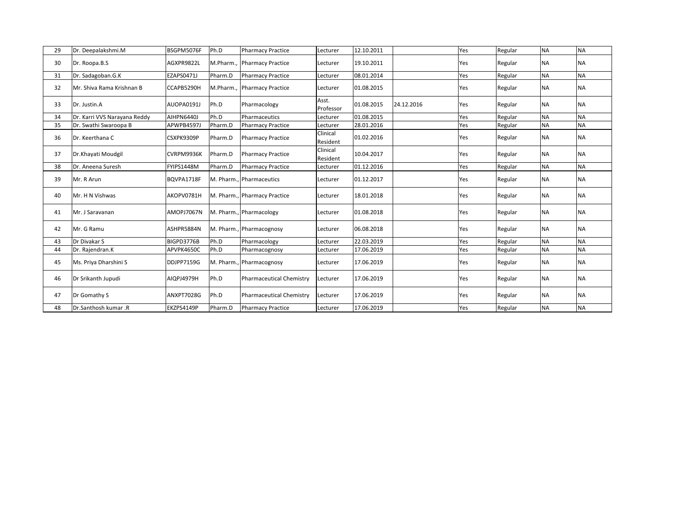| 29 | Dr. Deepalakshmi.M           | BSGPM5076F        | Ph.D    | <b>Pharmacy Practice</b>        | Lecturer             | 12.10.2011 |            | Yes | Regular | <b>NA</b> | <b>NA</b> |
|----|------------------------------|-------------------|---------|---------------------------------|----------------------|------------|------------|-----|---------|-----------|-----------|
| 30 | Dr. Roopa.B.S                | AGXPR9822L        |         | M.Pharm., Pharmacy Practice     | Lecturer             | 19.10.2011 |            | Yes | Regular | <b>NA</b> | <b>NA</b> |
| 31 | Dr. Sadagoban.G.K            | EZAPS0471J        | Pharm.D | <b>Pharmacy Practice</b>        | Lecturer             | 08.01.2014 |            | Yes | Regular | <b>NA</b> | <b>NA</b> |
| 32 | Mr. Shiva Rama Krishnan B    | CCAPB5290H        |         | M.Pharm., Pharmacy Practice     | Lecturer             | 01.08.2015 |            | Yes | Regular | <b>NA</b> | <b>NA</b> |
| 33 | Dr. Justin.A                 | AUOPA0191J        | Ph.D    | Pharmacology                    | Asst.<br>Professor   | 01.08.2015 | 24.12.2016 | Yes | Regular | <b>NA</b> | <b>NA</b> |
| 34 | Dr. Karri VVS Narayana Reddy | AIHPN6440J        | Ph.D    | Pharmaceutics                   | Lecturer             | 01.08.2015 |            | Yes | Regular | <b>NA</b> | <b>NA</b> |
| 35 | Dr. Swathi Swaroopa B        | APWPB4597J        | Pharm.D | <b>Pharmacy Practice</b>        | Lecturer             | 28.01.2016 |            | Yes | Regular | <b>NA</b> | <b>NA</b> |
| 36 | Dr. Keerthana C              | CSXPK9309P        | Pharm.D | <b>Pharmacy Practice</b>        | Clinical<br>Resident | 01.02.2016 |            | Yes | Regular | <b>NA</b> | <b>NA</b> |
| 37 | Dr.Khayati Moudgil           | CVRPM9936K        | Pharm.D | <b>Pharmacy Practice</b>        | Clinical<br>Resident | 10.04.2017 |            | Yes | Regular | <b>NA</b> | <b>NA</b> |
| 38 | Dr. Aneena Suresh            | <b>FYIPS1448M</b> | Pharm.D | <b>Pharmacy Practice</b>        | Lecturer             | 01.12.2016 |            | Yes | Regular | <b>NA</b> | <b>NA</b> |
| 39 | Mr. R Arun                   | BOVPA1718F        |         | M. Pharm., Pharmaceutics        | Lecturer             | 01.12.2017 |            | Yes | Regular | <b>NA</b> | <b>NA</b> |
| 40 | Mr. H N Vishwas              | AKOPV0781H        |         | M. Pharm., Pharmacy Practice    | Lecturer             | 18.01.2018 |            | Yes | Regular | <b>NA</b> | <b>NA</b> |
| 41 | Mr. J Saravanan              | AMOPJ7067N        |         | M. Pharm., Pharmacology         | Lecturer             | 01.08.2018 |            | Yes | Regular | <b>NA</b> | <b>NA</b> |
| 42 | Mr. G Ramu                   | ASHPR5884N        |         | M. Pharm., Pharmacognosy        | Lecturer             | 06.08.2018 |            | Yes | Regular | <b>NA</b> | <b>NA</b> |
| 43 | Dr Divakar S                 | BIGPD3776B        | Ph.D    | Pharmacology                    | Lecturer             | 22.03.2019 |            | Yes | Regular | <b>NA</b> | <b>NA</b> |
| 44 | Dr. Rajendran.K              | APVPK4650C        | Ph.D    | Pharmacognosy                   | Lecturer             | 17.06.2019 |            | Yes | Regular | <b>NA</b> | <b>NA</b> |
| 45 | Ms. Priya Dharshini S        | <b>DDJPP7159G</b> |         | M. Pharm., Pharmacognosy        | Lecturer             | 17.06.2019 |            | Yes | Regular | <b>NA</b> | <b>NA</b> |
| 46 | Dr Srikanth Jupudi           | AIQPJ4979H        | Ph.D    | <b>Pharmaceutical Chemistry</b> | Lecturer             | 17.06.2019 |            | Yes | Regular | <b>NA</b> | <b>NA</b> |
| 47 | Dr Gomathy S                 | ANXPT7028G        | Ph.D    | Pharmaceutical Chemistry        | Lecturer             | 17.06.2019 |            | Yes | Regular | <b>NA</b> | <b>NA</b> |
| 48 | Dr.Santhosh kumar .R         | EKZPS4149P        | Pharm.D | <b>Pharmacy Practice</b>        | Lecturer             | 17.06.2019 |            | Yes | Regular | <b>NA</b> | <b>NA</b> |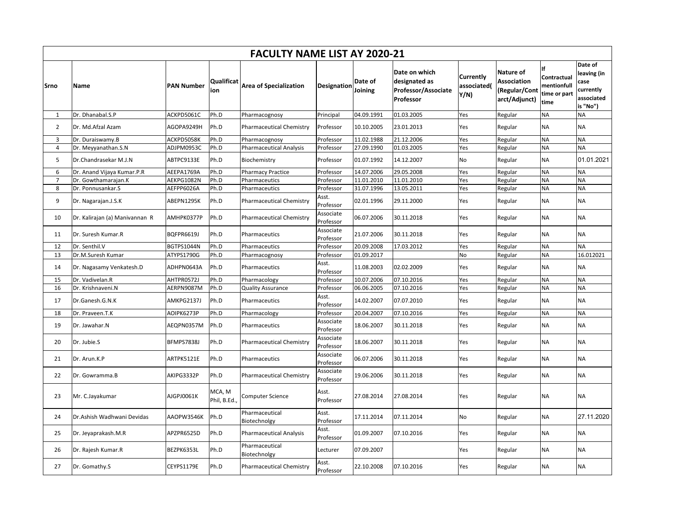|                |                                |                   |                          | <b>FACULTY NAME LIST AY 2020-21</b> |                        |                    |                                                                    |                                  |                                                                   |                                                          |                                                                       |
|----------------|--------------------------------|-------------------|--------------------------|-------------------------------------|------------------------|--------------------|--------------------------------------------------------------------|----------------------------------|-------------------------------------------------------------------|----------------------------------------------------------|-----------------------------------------------------------------------|
| Srno           | <b>Name</b>                    | <b>PAN Number</b> | <b>Qualificat</b><br>ion | <b>Area of Specialization</b>       | Designation            | Date of<br>Joining | Date on which<br>designated as<br>Professor/Associate<br>Professor | Currently<br>associated(<br>Y/N) | Nature of<br><b>Association</b><br>(Regular/Cont<br>arct/Adjunct) | ١f<br>Contractual<br>mentionfull<br>time or part<br>time | Date of<br>leaving (in<br>case<br>currently<br>associated<br>is "No") |
| $\mathbf{1}$   | Dr. Dhanabal.S.P               | ACKPD5061C        | Ph.D                     | Pharmacognosy                       | Principal              | 04.09.1991         | 01.03.2005                                                         | Yes                              | Regular                                                           | <b>NA</b>                                                | <b>NA</b>                                                             |
| $\overline{2}$ | Dr. Md.Afzal Azam              | AGOPA9249H        | Ph.D                     | <b>Pharmaceutical Chemistry</b>     | Professor              | 10.10.2005         | 23.01.2013                                                         | Yes                              | Regular                                                           | <b>NA</b>                                                | <b>NA</b>                                                             |
| 3              | Dr. Duraiswamy.B               | ACKPD5058K        | Ph.D                     | Pharmacognosy                       | Professor              | 11.02.1988         | 21.12.2006                                                         | Yes                              | Regular                                                           | <b>NA</b>                                                | <b>NA</b>                                                             |
| $\overline{4}$ | Dr. Meyyanathan.S.N            | ADJPM0953C        | Ph.D                     | <b>Pharmaceutical Analysis</b>      | Professor              | 27.09.1990         | 01.03.2005                                                         | Yes                              | Regular                                                           | <b>NA</b>                                                | <b>NA</b>                                                             |
| 5              | Dr.Chandrasekar M.J.N          | ABTPC9133E        | Ph.D                     | Biochemistry                        | Professor              | 01.07.1992         | 14.12.2007                                                         | No                               | Regular                                                           | <b>NA</b>                                                | 01.01.2021                                                            |
| 6              | Dr. Anand Vijaya Kumar.P.R     | AEEPA1769A        | Ph.D                     | <b>Pharmacy Practice</b>            | Professor              | 14.07.2006         | 29.05.2008                                                         | Yes                              | Regular                                                           | <b>NA</b>                                                | <b>NA</b>                                                             |
| $\overline{7}$ | Dr. Gowthamarajan.K            | AEKPG1082N        | Ph.D                     | Pharmaceutics                       | Professor              | 11.01.2010         | 11.01.2010                                                         | Yes                              | Regular                                                           | <b>NA</b>                                                | <b>NA</b>                                                             |
| 8              | Dr. Ponnusankar.S              | AEFPP6026A        | Ph.D                     | Pharmaceutics                       | Professor              | 31.07.1996         | 13.05.2011                                                         | Yes                              | Regular                                                           | <b>NA</b>                                                | <b>NA</b>                                                             |
| 9              | Dr. Nagarajan.J.S.K            | ABEPN1295K        | Ph.D                     | <b>Pharmaceutical Chemistry</b>     | Asst.<br>Professor     | 02.01.1996         | 29.11.2000                                                         | Yes                              | Regular                                                           | <b>NA</b>                                                | <b>NA</b>                                                             |
| 10             | Dr. Kalirajan (a) Manivannan R | AMHPK0377P        | Ph.D                     | <b>Pharmaceutical Chemistry</b>     | Associate<br>Professor | 06.07.2006         | 30.11.2018                                                         | Yes                              | Regular                                                           | <b>NA</b>                                                | <b>NA</b>                                                             |
| 11             | Dr. Suresh Kumar.R             | <b>BQFPR6619J</b> | Ph.D                     | Pharmaceutics                       | Associate<br>Professor | 21.07.2006         | 30.11.2018                                                         | Yes                              | Regular                                                           | <b>NA</b>                                                | <b>NA</b>                                                             |
| 12             | Dr. Senthil.V                  | BGTPS1044N        | Ph.D                     | Pharmaceutics                       | Professor              | 20.09.2008         | 17.03.2012                                                         | Yes                              | Regular                                                           | <b>NA</b>                                                | <b>NA</b>                                                             |
| 13             | Dr.M.Suresh Kumar              | ATYPS1790G        | Ph.D                     | Pharmacognosy                       | Professor              | 01.09.2017         |                                                                    | No                               | Regular                                                           | <b>NA</b>                                                | 16.012021                                                             |
| 14             | Dr. Nagasamy Venkatesh.D       | ADHPN0643A        | Ph.D                     | Pharmaceutics                       | Asst.<br>Professor     | 11.08.2003         | 02.02.2009                                                         | Yes                              | Regular                                                           | <b>NA</b>                                                | <b>NA</b>                                                             |
| 15             | Dr. Vadivelan.R                | AHTPR0572J        | Ph.D                     | Pharmacology                        | Professor              | 10.07.2006         | 07.10.2016                                                         | Yes                              | Regular                                                           | <b>NA</b>                                                | <b>NA</b>                                                             |
| 16             | Dr. Krishnaveni.N              | AERPN9087M        | Ph.D                     | <b>Quality Assurance</b>            | Professor              | 06.06.2005         | 07.10.2016                                                         | Yes                              | Regular                                                           | <b>NA</b>                                                | <b>NA</b>                                                             |
| 17             | Dr.Ganesh.G.N.K                | AMKPG2137J        | Ph.D                     | Pharmaceutics                       | Asst.<br>Professor     | 14.02.2007         | 07.07.2010                                                         | Yes                              | Regular                                                           | <b>NA</b>                                                | <b>NA</b>                                                             |
| 18             | Dr. Praveen.T.K                | AOIPK6273P        | Ph.D                     | Pharmacology                        | Professor              | 20.04.2007         | 07.10.2016                                                         | Yes                              | Regular                                                           | <b>NA</b>                                                | <b>NA</b>                                                             |
| 19             | Dr. Jawahar.N                  | AEQPN0357M        | Ph.D                     | Pharmaceutics                       | Associate<br>Professor | 18.06.2007         | 30.11.2018                                                         | Yes                              | Regular                                                           | <b>NA</b>                                                | <b>NA</b>                                                             |
| 20             | Dr. Jubie.S                    | BFMPS7838J        | Ph.D                     | <b>Pharmaceutical Chemistry</b>     | Associate<br>Professor | 18.06.2007         | 30.11.2018                                                         | Yes                              | Regular                                                           | <b>NA</b>                                                | <b>NA</b>                                                             |
| 21             | Dr. Arun.K.P                   | ARTPK5121E        | Ph.D                     | Pharmaceutics                       | Associate<br>Professor | 06.07.2006         | 30.11.2018                                                         | Yes                              | Regular                                                           | <b>NA</b>                                                | <b>NA</b>                                                             |
| 22             | Dr. Gowramma.B                 | AKIPG3332P        | Ph.D                     | <b>Pharmaceutical Chemistry</b>     | Associate<br>Professor | 19.06.2006         | 30.11.2018                                                         | Yes                              | Regular                                                           | <b>NA</b>                                                | <b>NA</b>                                                             |
| 23             | Mr. C.Jayakumar                | AJGPJ0061K        | MCA, M<br>Phil, B.Ed.,   | Computer Science                    | Asst.<br>Professor     | 27.08.2014         | 27.08.2014                                                         | Yes                              | Regular                                                           | <b>NA</b>                                                | <b>NA</b>                                                             |
| 24             | Dr.Ashish Wadhwani Devidas     | AAOPW3546K        | Ph.D                     | Pharmaceutical<br>Biotechnolgy      | Asst.<br>Professor     | 17.11.2014         | 07.11.2014                                                         | No                               | Regular                                                           | <b>NA</b>                                                | 27.11.2020                                                            |
| 25             | Dr. Jeyaprakash.M.R            | APZPR6525D        | Ph.D                     | <b>Pharmaceutical Analysis</b>      | Asst.<br>Professor     | 01.09.2007         | 07.10.2016                                                         | Yes                              | Regular                                                           | <b>NA</b>                                                | <b>NA</b>                                                             |
| 26             | Dr. Rajesh Kumar.R             | BEZPK6353L        | Ph.D                     | Pharmaceutical<br>Biotechnolgy      | Lecturer               | 07.09.2007         |                                                                    | Yes                              | Regular                                                           | <b>NA</b>                                                | <b>NA</b>                                                             |
| 27             | Dr. Gomathy.S                  | CEYPS1179E        | Ph.D                     | <b>Pharmaceutical Chemistry</b>     | Asst.<br>Professor     | 22.10.2008         | 07.10.2016                                                         | Yes                              | Regular                                                           | <b>NA</b>                                                | <b>NA</b>                                                             |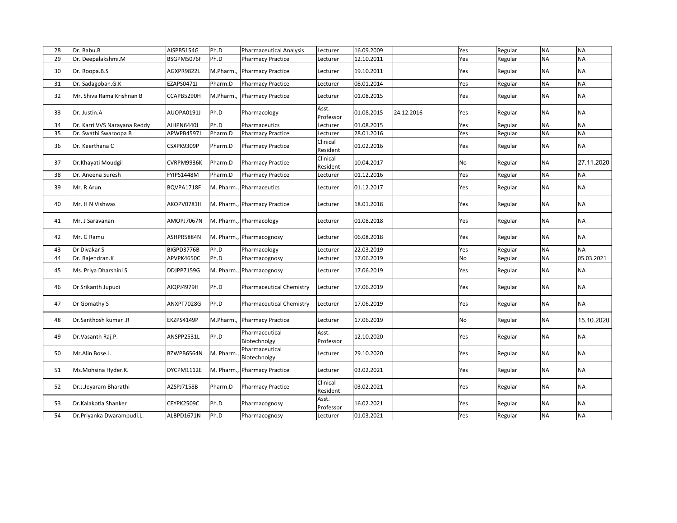| 28 | Dr. Babu.B                   | AISPB5154G | Ph.D      | <b>Pharmaceutical Analysis</b>  | Lecturer             | 16.09.2009 |            | Yes | Regular | <b>NA</b> | <b>NA</b>  |
|----|------------------------------|------------|-----------|---------------------------------|----------------------|------------|------------|-----|---------|-----------|------------|
| 29 | Dr. Deepalakshmi.M           | BSGPM5076F | Ph.D      | <b>Pharmacy Practice</b>        | Lecturer             | 12.10.2011 |            | Yes | Regular | <b>NA</b> | <b>NA</b>  |
| 30 | Dr. Roopa.B.S                | AGXPR9822L | M.Pharm.  | <b>Pharmacy Practice</b>        | Lecturer             | 19.10.2011 |            | Yes | Regular | <b>NA</b> | <b>NA</b>  |
| 31 | Dr. Sadagoban.G.K            | EZAPS0471J | Pharm.D   | <b>Pharmacy Practice</b>        | Lecturer             | 08.01.2014 |            | Yes | Regular | <b>NA</b> | <b>NA</b>  |
| 32 | Mr. Shiva Rama Krishnan B    | CCAPB5290H | M.Pharm., | <b>Pharmacy Practice</b>        | Lecturer             | 01.08.2015 |            | Yes | Regular | <b>NA</b> | <b>NA</b>  |
| 33 | Dr. Justin.A                 | AUOPA0191J | Ph.D      | Pharmacology                    | Asst.<br>Professor   | 01.08.2015 | 24.12.2016 | Yes | Regular | <b>NA</b> | <b>NA</b>  |
| 34 | Dr. Karri VVS Narayana Reddy | AIHPN6440J | Ph.D      | Pharmaceutics                   | Lecturer             | 01.08.2015 |            | Yes | Regular | <b>NA</b> | <b>NA</b>  |
| 35 | Dr. Swathi Swaroopa B        | APWPB4597J | Pharm.D   | <b>Pharmacy Practice</b>        | Lecturer             | 28.01.2016 |            | Yes | Regular | <b>NA</b> | <b>NA</b>  |
| 36 | Dr. Keerthana C              | CSXPK9309P | Pharm.D   | <b>Pharmacy Practice</b>        | Clinical<br>Resident | 01.02.2016 |            | Yes | Regular | <b>NA</b> | <b>NA</b>  |
| 37 | Dr.Khayati Moudgil           | CVRPM9936K | Pharm.D   | <b>Pharmacy Practice</b>        | Clinical<br>Resident | 10.04.2017 |            | No  | Regular | <b>NA</b> | 27.11.2020 |
| 38 | Dr. Aneena Suresh            | FYIPS1448M | Pharm.D   | <b>Pharmacy Practice</b>        | Lecturer             | 01.12.2016 |            | Yes | Regular | <b>NA</b> | <b>NA</b>  |
| 39 | Mr. R Arun                   | BQVPA1718F |           | M. Pharm., Pharmaceutics        | Lecturer             | 01.12.2017 |            | Yes | Regular | NA        | <b>NA</b>  |
| 40 | Mr. H N Vishwas              | AKOPV0781H |           | M. Pharm., Pharmacy Practice    | Lecturer             | 18.01.2018 |            | Yes | Regular | <b>NA</b> | <b>NA</b>  |
| 41 | Mr. J Saravanan              | AMOPJ7067N |           | M. Pharm., Pharmacology         | Lecturer             | 01.08.2018 |            | Yes | Regular | <b>NA</b> | <b>NA</b>  |
| 42 | Mr. G Ramu                   | ASHPR5884N |           | M. Pharm., Pharmacognosy        | Lecturer             | 06.08.2018 |            | Yes | Regular | <b>NA</b> | <b>NA</b>  |
| 43 | Dr Divakar S                 | BIGPD3776B | Ph.D      | Pharmacology                    | Lecturer             | 22.03.2019 |            | Yes | Regular | <b>NA</b> | <b>NA</b>  |
| 44 | Dr. Rajendran.K              | APVPK4650C | Ph.D      | Pharmacognosy                   | Lecturer             | 17.06.2019 |            | No  | Regular | <b>NA</b> | 05.03.2021 |
| 45 | Ms. Priya Dharshini S        | DDJPP7159G |           | M. Pharm., Pharmacognosy        | Lecturer             | 17.06.2019 |            | Yes | Regular | <b>NA</b> | <b>NA</b>  |
| 46 | Dr Srikanth Jupudi           | AIQPJ4979H | Ph.D      | <b>Pharmaceutical Chemistry</b> | _ecturer             | 17.06.2019 |            | Yes | Regular | ΝA        | <b>NA</b>  |
| 47 | Dr Gomathy S                 | ANXPT7028G | Ph.D      | <b>Pharmaceutical Chemistry</b> | Lecturer             | 17.06.2019 |            | Yes | Regular | <b>NA</b> | <b>NA</b>  |
| 48 | Dr.Santhosh kumar.R          | EKZPS4149P |           | M.Pharm., Pharmacy Practice     | Lecturer             | 17.06.2019 |            | No  | Regular | <b>NA</b> | 15.10.2020 |
| 49 | Dr.Vasanth Raj.P.            | ANSPP2531L | Ph.D      | Pharmaceutical<br>Biotechnolgy  | Asst.<br>Professor   | 12.10.2020 |            | Yes | Regular | ΝA        | <b>NA</b>  |
| 50 | Mr.Alin Bose.J.              | BZWPB6564N | M. Pharm  | Pharmaceutical<br>Biotechnolgy  | Lecturer             | 29.10.2020 |            | Yes | Regular | <b>NA</b> | <b>NA</b>  |
| 51 | Ms.Mohsina Hyder.K.          | DYCPM1112E |           | M. Pharm., Pharmacy Practice    | Lecturer             | 03.02.2021 |            | Yes | Regular | <b>NA</b> | <b>NA</b>  |
| 52 | Dr.J.Jeyaram Bharathi        | AZSPJ7158B | Pharm.D   | <b>Pharmacy Practice</b>        | Clinical<br>Resident | 03.02.2021 |            | Yes | Regular | <b>NA</b> | <b>NA</b>  |
| 53 | Dr.Kalakotla Shanker         | CEYPK2509C | Ph.D      | Pharmacognosy                   | Asst.<br>Professor   | 16.02.2021 |            | Yes | Regular | NΑ        | <b>NA</b>  |
| 54 | Dr.Priyanka Dwarampudi.L.    | ALBPD1671N | Ph.D      | Pharmacognosy                   | Lecturer             | 01.03.2021 |            | Yes | Regular | <b>NA</b> | <b>NA</b>  |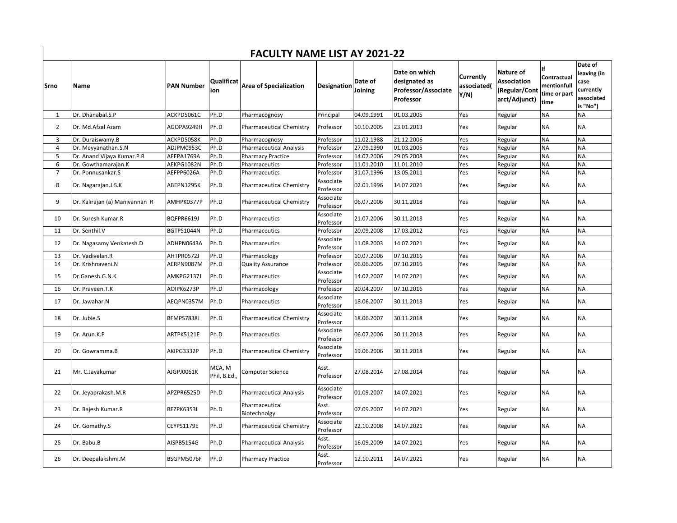## **FACULTY NAME LIST AY 2021-22**

| Srno           | Name                           | <b>PAN Number</b> | <b>Qualificat</b><br>ion | <b>Area of Specialization</b>   | <b>Designation</b>     | Date of<br>Joining | Date on which<br>designated as<br>Professor/Associate<br><b>Professor</b> | Currently<br>associated(<br>Y/N) | Nature of<br>Association<br>(Regular/Cont<br>arct/Adjunct) | Contractual<br>mentionfull<br>time or part<br>time | Date of<br>leaving (in<br>case<br>currently<br>associated<br>is "No") |
|----------------|--------------------------------|-------------------|--------------------------|---------------------------------|------------------------|--------------------|---------------------------------------------------------------------------|----------------------------------|------------------------------------------------------------|----------------------------------------------------|-----------------------------------------------------------------------|
| $\mathbf{1}$   | Dr. Dhanabal.S.P               | ACKPD5061C        | Ph.D                     | Pharmacognosy                   | Principal              | 04.09.1991         | 01.03.2005                                                                | Yes                              | Regular                                                    | <b>NA</b>                                          | <b>NA</b>                                                             |
| $\overline{2}$ | Dr. Md.Afzal Azam              | AGOPA9249H        | Ph.D                     | <b>Pharmaceutical Chemistry</b> | Professor              | 10.10.2005         | 23.01.2013                                                                | Yes                              | Regular                                                    | <b>NA</b>                                          | <b>NA</b>                                                             |
| 3              | Dr. Duraiswamy.B               | ACKPD5058K        | Ph.D                     | Pharmacognosy                   | Professor              | 11.02.1988         | 21.12.2006                                                                | Yes                              | Regular                                                    | <b>NA</b>                                          | <b>NA</b>                                                             |
| $\overline{4}$ | Dr. Meyyanathan.S.N            | ADJPM0953C        | Ph.D                     | <b>Pharmaceutical Analysis</b>  | Professor              | 27.09.1990         | 01.03.2005                                                                | Yes                              | Regular                                                    | <b>NA</b>                                          | <b>NA</b>                                                             |
| 5              | Dr. Anand Vijaya Kumar.P.R     | AEEPA1769A        | Ph.D                     | <b>Pharmacy Practice</b>        | Professor              | 14.07.2006         | 29.05.2008                                                                | Yes                              | Regular                                                    | <b>NA</b>                                          | <b>NA</b>                                                             |
| 6              | Dr. Gowthamarajan.K            | AEKPG1082N        | Ph.D                     | Pharmaceutics                   | Professor              | 11.01.2010         | 11.01.2010                                                                | Yes                              | Regular                                                    | <b>NA</b>                                          | <b>NA</b>                                                             |
| 7              | Dr. Ponnusankar.S              | AEFPP6026A        | Ph.D                     | Pharmaceutics                   | Professor              | 31.07.1996         | 13.05.2011                                                                | Yes                              | Regular                                                    | <b>NA</b>                                          | <b>NA</b>                                                             |
| 8              | Dr. Nagarajan.J.S.K            | ABEPN1295K        | Ph.D                     | <b>Pharmaceutical Chemistry</b> | Associate<br>Professor | 02.01.1996         | 14.07.2021                                                                | Yes                              | Regular                                                    | <b>NA</b>                                          | <b>NA</b>                                                             |
| 9              | Dr. Kalirajan (a) Manivannan R | AMHPK0377P        | Ph.D                     | <b>Pharmaceutical Chemistry</b> | Associate<br>Professor | 06.07.2006         | 30.11.2018                                                                | Yes                              | Regular                                                    | <b>NA</b>                                          | <b>NA</b>                                                             |
| 10             | Dr. Suresh Kumar.R             | <b>BQFPR6619J</b> | Ph.D                     | Pharmaceutics                   | Associate<br>Professor | 21.07.2006         | 30.11.2018                                                                | Yes                              | Regular                                                    | <b>NA</b>                                          | <b>NA</b>                                                             |
| 11             | Dr. Senthil.V                  | BGTPS1044N        | Ph.D                     | Pharmaceutics                   | Professor              | 20.09.2008         | 17.03.2012                                                                | Yes                              | Regular                                                    | <b>NA</b>                                          | <b>NA</b>                                                             |
| 12             | Dr. Nagasamy Venkatesh.D       | ADHPN0643A        | Ph.D                     | Pharmaceutics                   | Associate<br>Professor | 11.08.2003         | 14.07.2021                                                                | Yes                              | Regular                                                    | <b>NA</b>                                          | <b>NA</b>                                                             |
| 13             | Dr. Vadivelan.R                | AHTPR0572J        | Ph.D                     | Pharmacology                    | Professor              | 10.07.2006         | 07.10.2016                                                                | Yes                              | Regular                                                    | <b>NA</b>                                          | <b>NA</b>                                                             |
| 14             | Dr. Krishnaveni.N              | AERPN9087M        | Ph.D                     | <b>Quality Assurance</b>        | Professor              | 06.06.2005         | 07.10.2016                                                                | Yes                              | Regular                                                    | <b>NA</b>                                          | <b>NA</b>                                                             |
| 15             | Dr.Ganesh.G.N.K                | AMKPG2137J        | Ph.D                     | Pharmaceutics                   | Associate<br>Professor | 14.02.2007         | 14.07.2021                                                                | Yes                              | Regular                                                    | <b>NA</b>                                          | <b>NA</b>                                                             |
| 16             | Dr. Praveen.T.K                | AOIPK6273P        | Ph.D                     | Pharmacology                    | Professor              | 20.04.2007         | 07.10.2016                                                                | Yes                              | Regular                                                    | <b>NA</b>                                          | <b>NA</b>                                                             |
| 17             | Dr. Jawahar.N                  | AEQPN0357M        | Ph.D                     | Pharmaceutics                   | Associate<br>Professor | 18.06.2007         | 30.11.2018                                                                | Yes                              | Regular                                                    | <b>NA</b>                                          | <b>NA</b>                                                             |
| 18             | Dr. Jubie.S                    | <b>BFMPS7838J</b> | Ph.D                     | <b>Pharmaceutical Chemistry</b> | Associate<br>Professor | 18.06.2007         | 30.11.2018                                                                | Yes                              | Regular                                                    | <b>NA</b>                                          | <b>NA</b>                                                             |
| 19             | Dr. Arun.K.P                   | ARTPK5121E        | Ph.D                     | Pharmaceutics                   | Associate<br>Professor | 06.07.2006         | 30.11.2018                                                                | Yes                              | Regular                                                    | <b>NA</b>                                          | <b>NA</b>                                                             |
| 20             | Dr. Gowramma.B                 | AKIPG3332P        | Ph.D                     | <b>Pharmaceutical Chemistry</b> | Associate<br>Professor | 19.06.2006         | 30.11.2018                                                                | Yes                              | Regular                                                    | <b>NA</b>                                          | <b>NA</b>                                                             |
| 21             | Mr. C.Jayakumar                | AJGPJ0061K        | MCA, M<br>Phil, B.Ed.,   | <b>Computer Science</b>         | Asst.<br>Professor     | 27.08.2014         | 27.08.2014                                                                | Yes                              | Regular                                                    | <b>NA</b>                                          | <b>NA</b>                                                             |
| 22             | Dr. Jeyaprakash.M.R            | APZPR6525D        | Ph.D                     | <b>Pharmaceutical Analysis</b>  | Associate<br>Professor | 01.09.2007         | 14.07.2021                                                                | Yes                              | Regular                                                    | <b>NA</b>                                          | <b>NA</b>                                                             |
| 23             | Dr. Rajesh Kumar.R             | BEZPK6353L        | Ph.D                     | Pharmaceutical<br>Biotechnolgy  | Asst.<br>Professor     | 07.09.2007         | 14.07.2021                                                                | Yes                              | Regular                                                    | <b>NA</b>                                          | <b>NA</b>                                                             |
| 24             | Dr. Gomathy.S                  | CEYPS1179E        | Ph.D                     | <b>Pharmaceutical Chemistry</b> | Associate<br>Professor | 22.10.2008         | 14.07.2021                                                                | Yes                              | Regular                                                    | <b>NA</b>                                          | <b>NA</b>                                                             |
| 25             | Dr. Babu.B                     | AISPB5154G        | Ph.D                     | <b>Pharmaceutical Analysis</b>  | Asst.<br>Professor     | 16.09.2009         | 14.07.2021                                                                | Yes                              | Regular                                                    | NA                                                 | <b>NA</b>                                                             |
| 26             | Dr. Deepalakshmi.M             | BSGPM5076F        | Ph.D                     | <b>Pharmacy Practice</b>        | Asst.<br>Professor     | 12.10.2011         | 14.07.2021                                                                | Yes                              | Regular                                                    | <b>NA</b>                                          | <b>NA</b>                                                             |